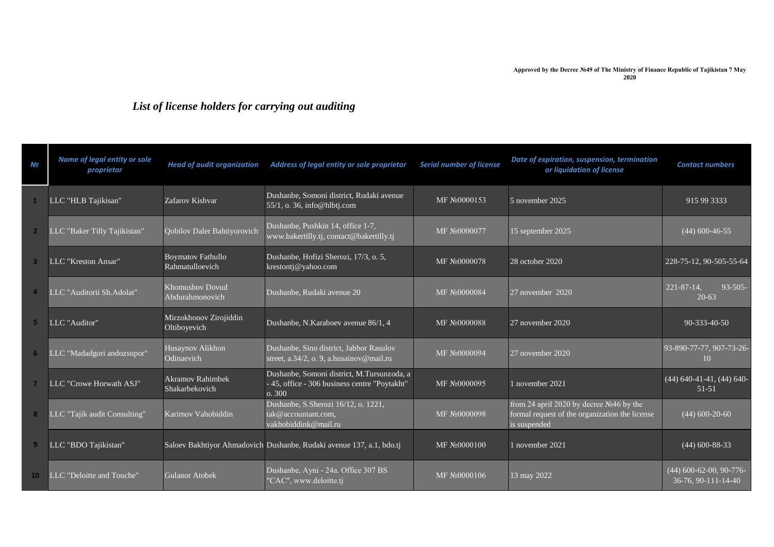## *List of license holders for carrying out auditing*

| N <sub>2</sub> | Name of legal entity or sole<br>proprietor | <b>Head of audit organization</b>           | Address of legal entity or sole proprietor                                                           | <b>Serial number of license</b> | Date of expiration, suspension, termination<br>or liquidation of license                                     | <b>Contact numbers</b>                             |
|----------------|--------------------------------------------|---------------------------------------------|------------------------------------------------------------------------------------------------------|---------------------------------|--------------------------------------------------------------------------------------------------------------|----------------------------------------------------|
|                | LLC "HLB Tajikisan"                        | Zafarov Kishvar                             | Dushanbe, Somoni district, Rudaki avenue<br>55/1, o. 36, info@hlbtj.com                              | MF No0000153                    | 5 november 2025                                                                                              | 915 99 3333                                        |
| $\overline{2}$ | LLC "Baker Tilly Tajikistan"               | Qobilov Daler Bahtiyorovich                 | Dushanbe, Pushkin 14, office 1-7,<br>www.bakertilly.tj, contact@bakertilly.tj                        | MF No0000077                    | 15 september 2025                                                                                            | $(44)$ 600-46-55                                   |
|                | LLC "Kreston Ansar"                        | <b>Boymatov Fathullo</b><br>Rahmatulloevich | Dushanbe, Hofizi Sherozi, 17/3, o. 5,<br>krestontj@yahoo.com                                         | MF No0000078                    | 28 october 2020                                                                                              | 228-75-12, 90-505-55-64                            |
|                | LLC "Auditorii Sh.Adolat"                  | <b>Khomushov Dovud</b><br>Abdurahmonovich   | Dushanbe, Rudaki avenue 20                                                                           | MF No0000084                    | 27 november 2020                                                                                             | $221 - 87 - 14$ ,<br>$93 - 505$<br>$20 - 63$       |
| 5              | LLC "Auditor"                              | Mirzokhonov Zirojiddin<br>Oltiboyevich      | Dushanbe, N.Karaboev avenue 86/1, 4                                                                  | MF No0000088                    | 27 november 2020                                                                                             | 90-333-40-50                                       |
| 6              | LLC "Madadgori andozsupor"                 | Husaynov Alikhon<br>Odinaevich              | Dushanbe, Sino district, Jabbor Rasulov<br>street, a.34/2, o. 9, a.husainov@mail.ru                  | MF No0000094                    | 27 november 2020                                                                                             | 93-890-77-77, 907-73-26-<br>10                     |
|                | LLC "Crowe Horwath ASJ"                    | <b>Akramov Rahimbek</b><br>Shakarbekovich   | Dushanbe, Somoni district, M.Tursunzoda, a<br>- 45, office - 306 business centre "Poytakht"<br>o.300 | MF No0000095                    | 1 november 2021                                                                                              | $(44)$ 640-41-41, (44) 640-<br>$51 - 51$           |
| 8              | LLC "Tajik audit Consulting"               | Karimov Vahobiddin                          | Dushanbe, S.Sherozi 16/12, o. 1221,<br>tak@accountant.com,<br>vakhobiddink@mail.ru                   | MF No0000098                    | from 24 april 2020 by decree $N246$ by the<br>formal request of the organization the license<br>is suspended | $(44)$ 600-20-60                                   |
| 9              | LLC "BDO Tajikistan"                       |                                             | Saloev Bakhtiyor Ahmadovich Dushanbe, Rudaki avenue 137, a.1, bdo.tj                                 | MF No0000100                    | 1 november 2021                                                                                              | $(44)$ 600-88-33                                   |
| 10             | LLC "Deloitte and Touche"                  | <b>Gulanor Atobek</b>                       | Dushanbe, Ayni - 24a. Office 307 BS<br>"CAC", www.deloitte.tj                                        | MF No0000106                    | 13 may 2022                                                                                                  | $(44)$ 600-62-00, 90-776-<br>$36-76, 90-111-14-40$ |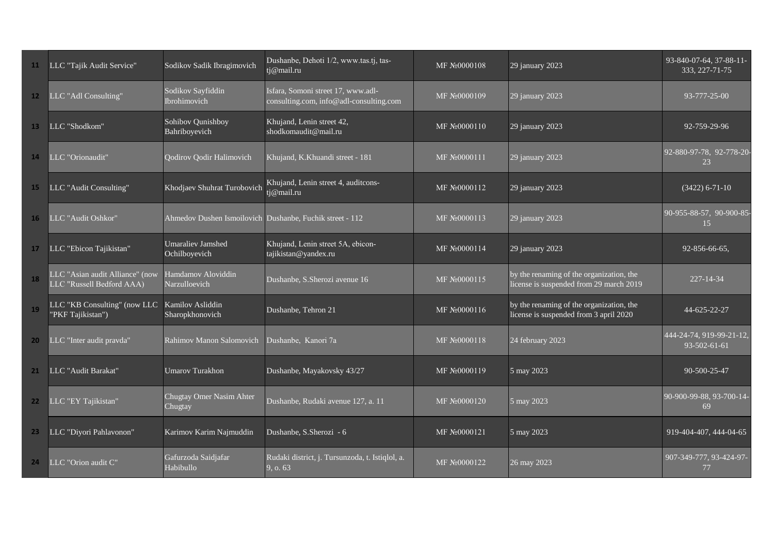| 11              | LLC "Tajik Audit Service"                                    | Sodikov Sadik Ibragimovich                | Dushanbe, Dehoti 1/2, www.tas.tj, tas-<br>tj@mail.ru                          | MF No0000108              | 29 january 2023                                                                     | 93-840-07-64, 37-88-11-<br>333, 227-71-75 |
|-----------------|--------------------------------------------------------------|-------------------------------------------|-------------------------------------------------------------------------------|---------------------------|-------------------------------------------------------------------------------------|-------------------------------------------|
| 12 <sup>2</sup> | LLC "Adl Consulting"                                         | Sodikov Sayfiddin<br>Ibrohimovich         | Isfara, Somoni street 17, www.adl-<br>consulting.com, info@adl-consulting.com | MF N20000109              | 29 january 2023                                                                     | 93-777-25-00                              |
| 13 <sup>1</sup> | LLC "Shodkom"                                                | Sohibov Qunishboy<br>Bahriboyevich        | Khujand, Lenin street 42,<br>shodkomaudit@mail.ru                             | MF N <sub>2</sub> 0000110 | 29 january 2023                                                                     | 92-759-29-96                              |
| 14              | LLC "Orionaudit"                                             | <b>Qodirov Qodir Halimovich</b>           | Khujand, K.Khuandi street - 181                                               | MF No0000111              | 29 january 2023                                                                     | 92-880-97-78, 92-778-20-<br>23            |
| 15              | LLC "Audit Consulting"                                       | Khodjaev Shuhrat Turobovich               | Khujand, Lenin street 4, auditcons-<br>tj@mail.ru                             | MF No0000112              | 29 january 2023                                                                     | $(3422)$ 6-71-10                          |
| 16              | LLC "Audit Oshkor"                                           |                                           | Ahmedov Dushen Ismoilovich Dushanbe, Fuchik street - 112                      | MF No0000113              | 29 january 2023                                                                     | 90-955-88-57, 90-900-85-<br>15            |
| 17              | LLC "Ebicon Tajikistan"                                      | <b>Umaraliev Jamshed</b><br>Ochilboyevich | Khujand, Lenin street 5A, ebicon-<br>tajikistan@yandex.ru                     | MF No0000114              | 29 january 2023                                                                     | 92-856-66-65,                             |
| 18              | LLC "Asian audit Alliance" (now<br>LLC "Russell Bedford AAA) | Hamdamov Aloviddin<br>Narzulloevich       | Dushanbe, S.Sherozi avenue 16                                                 | MF No0000115              | by the renaming of the organization, the<br>license is suspended from 29 march 2019 | 227-14-34                                 |
| 19              | LLC "KB Consulting" (now LLC<br>"PKF Tajikistan")            | Kamilov Asliddin<br>Sharopkhonovich       | Dushanbe, Tehron 21                                                           | MF No0000116              | by the renaming of the organization, the<br>license is suspended from 3 april 2020  | 44-625-22-27                              |
| 20              | LLC "Inter audit pravda"                                     | Rahimov Manon Salomovich                  | Dushanbe, Kanori 7a                                                           | MF No0000118              | 24 february 2023                                                                    | 444-24-74, 919-99-21-12,<br>93-502-61-61  |
| 21              | LLC "Audit Barakat"                                          | <b>Umarov Turakhon</b>                    | Dushanbe, Mayakovsky 43/27                                                    | MF N <sub>2</sub> 0000119 | 5 may 2023                                                                          | 90-500-25-47                              |
| 22 <sub>2</sub> | LLC "EY Tajikistan"                                          | Chugtay Omer Nasim Ahter<br>Chugtay       | Dushanbe, Rudaki avenue 127, a. 11                                            | MF No0000120              | 5 may 2023                                                                          | 90-900-99-88, 93-700-14-<br>69            |
| 23 <sub>2</sub> | LLC "Diyori Pahlavonon"                                      | Karimov Karim Najmuddin                   | Dushanbe, S.Sherozi - 6                                                       | MF No0000121              | 5 may 2023                                                                          | 919-404-407, 444-04-65                    |
| 24              | LLC "Orion audit C"                                          | Gafurzoda Saidjafar<br>Habibullo          | Rudaki district, j. Tursunzoda, t. Istiqlol, a.<br>9, o. 63                   | MF №0000122               | 26 may 2023                                                                         | 907-349-777, 93-424-97-<br>77             |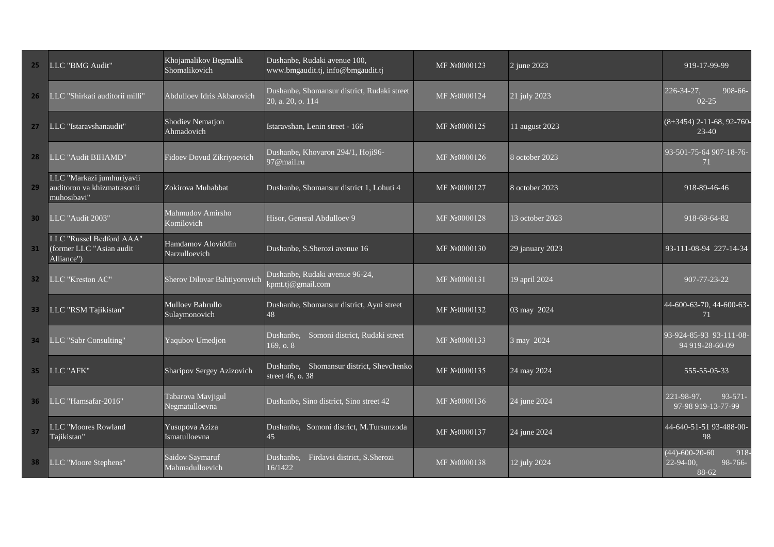| 25              | LLC "BMG Audit"                                                         | Khojamalikov Begmalik<br>Shomalikovich | Dushanbe, Rudaki avenue 100,<br>www.bmgaudit.tj, info@bmgaudit.tj | MF No0000123 | 2 june 2023           | 919-17-99-99                                                          |
|-----------------|-------------------------------------------------------------------------|----------------------------------------|-------------------------------------------------------------------|--------------|-----------------------|-----------------------------------------------------------------------|
| 26              | LLC "Shirkati auditorii milli"                                          | Abdulloev Idris Akbarovich             | Dushanbe, Shomansur district, Rudaki street<br>20, a. 20, o. 114  | MF №0000124  | 21 july 2023          | 226-34-27,<br>908-66-<br>$02 - 25$                                    |
| 27              | LLC "Istaravshanaudit"                                                  | <b>Shodiev Nematjon</b><br>Ahmadovich  | Istaravshan, Lenin street - 166                                   | MF No0000125 | 11 august 2023        | $(8+3454)$ 2-11-68, 92-760<br>$23-40$                                 |
| 28              | LLC "Audit BIHAMD"                                                      | Fidoev Dovud Zikriyoevich              | Dushanbe, Khovaron 294/1, Hoji96-<br>97@mail.ru                   | MF №0000126  | 8 october 2023        | 93-501-75-64 907-18-76-<br>71                                         |
| 29              | LLC "Markazi jumhuriyavii<br>auditoron va khizmatrasonii<br>muhosibavi" | Zokirova Muhabbat                      | Dushanbe, Shomansur district 1, Lohuti 4                          | MF No0000127 | 8 october 2023        | 918-89-46-46                                                          |
| 30 <sup>°</sup> | LLC "Audit 2003"                                                        | Mahmudov Amirsho<br>Komilovich         | Hisor, General Abdulloev 9                                        | MF No0000128 | 13 october 2023       | 918-68-64-82                                                          |
| 31              | LLC "Russel Bedford AAA"<br>(former LLC "Asian audit<br>Alliance")      | Hamdamov Aloviddin<br>Narzulloevich    | Dushanbe, S.Sherozi avenue 16                                     | MF No0000130 | 29 january 2023       | 93-111-08-94 227-14-34                                                |
| 32 <sub>2</sub> | LLC "Kreston AC"                                                        | Sherov Dilovar Bahtiyorovich           | Dushanbe, Rudaki avenue 96-24,<br>kpmt.tj@gmail.com               | MF No0000131 | 19 april 2024         | 907-77-23-22                                                          |
| 33 <sup>°</sup> | LLC "RSM Tajikistan"                                                    | Mulloev Bahrullo<br>Sulaymonovich      | Dushanbe, Shomansur district, Ayni street<br>48                   | MF No0000132 | 03 may 2024           | 44-600-63-70, 44-600-63-<br>71                                        |
| 34              | LLC "Sabr Consulting"                                                   | Yaqubov Umedjon                        | Dushanbe, Somoni district, Rudaki street<br>169, o. 8             | MF No0000133 | 3 may 2024            | 93-924-85-93 93-111-08-<br>94 919-28-60-09                            |
| 35 <sub>1</sub> | LLC "AFK"                                                               | Sharipov Sergey Azizovich              | Dushanbe, Shomansur district, Shevchenko<br>street 46, o. 38      | MF No0000135 | 24 may 2024           | 555-55-05-33                                                          |
| 36              | LLC "Hamsafar-2016"                                                     | Tabarova Mavjigul<br>Negmatulloevna    | Dushanbe, Sino district, Sino street 42                           | MF №0000136  | 24 june 2024          | 221-98-97.<br>$93 - 571 -$<br>97-98 919-13-77-99                      |
| 37              | LLC "Moores Rowland<br>Tajikistan"                                      | Yusupova Aziza<br>Ismatulloevna        | Dushanbe, Somoni district, M.Tursunzoda<br>45                     | MF No0000137 | $\sqrt{24}$ june 2024 | 44-640-51-51 93-488-00-<br>98                                         |
| 38              | LLC "Moore Stephens"                                                    | Saidov Saymaruf<br>Mahmadulloevich     | Dushanbe,<br>Firdavsi district, S.Sherozi<br>16/1422              | MF No0000138 | 12 july 2024          | $(44) - 600 - 20 - 60$<br>918<br>$22 - 94 - 00$ .<br>98-766-<br>88-62 |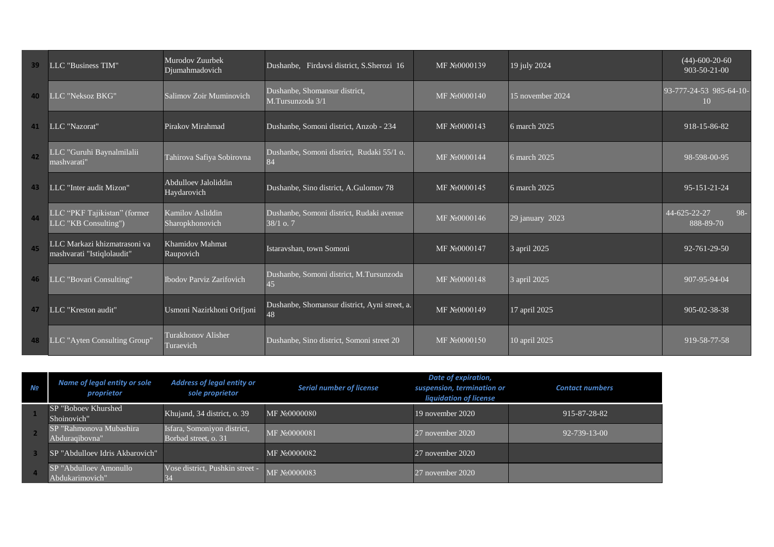| 39       | LLC "Business TIM"                                         | Murodov Zuurbek<br>Djumahmadovich   | Dushanbe, Firdavsi district, S.Sherozi 16               | MF No0000139 | 19 july 2024     | $(44) - 600 - 20 - 60$<br>$903 - 50 - 21 - 00$ |
|----------|------------------------------------------------------------|-------------------------------------|---------------------------------------------------------|--------------|------------------|------------------------------------------------|
| 40       | LLC "Neksoz BKG"                                           | Salimov Zoir Muminovich             | Dushanbe, Shomansur district,<br>M.Tursunzoda 3/1       | MF No0000140 | 15 november 2024 | 93-777-24-53 985-64-10-<br>10                  |
| 41       | LLC "Nazorat"                                              | Pirakov Mirahmad                    | Dushanbe, Somoni district, Anzob - 234                  | MF No0000143 | 6 march 2025     | 918-15-86-82                                   |
| $\Delta$ | LLC "Guruhi Baynalmilalii<br>mashvarati"                   | Tahirova Safiya Sobirovna           | Dushanbe, Somoni district, Rudaki 55/1 o.<br>84         | MF No0000144 | 6 march 2025     | 98-598-00-95                                   |
| 43       | LLC "Inter audit Mizon"                                    | Abdulloev Jaloliddin<br>Haydarovich | Dushanbe, Sino district, A.Gulomov 78                   | MF No0000145 | 6 march 2025     | 95-151-21-24                                   |
| 44       | LLC "PKF Tajikistan" (former<br>LLC "KB Consulting")       | Kamilov Asliddin<br>Sharopkhonovich | Dushanbe, Somoni district, Rudaki avenue<br>$38/1$ o. 7 | MF No0000146 | 29 january 2023  | 44-625-22-27<br>$98 -$<br>888-89-70            |
| 45       | LLC Markazi khizmatrasoni va<br>mashvarati "Istiqlolaudit" | <b>Khamidov Mahmat</b><br>Raupovich | Istaravshan, town Somoni                                | MF No0000147 | 3 april 2025     | $92 - 761 - 29 - 50$                           |
| 46       | LLC "Bovari Consulting"                                    | <b>Ibodov Parviz Zarifovich</b>     | Dushanbe, Somoni district, M.Tursunzoda<br>45           | MF No0000148 | 3 april 2025     | 907-95-94-04                                   |
| 47       | LLC "Kreston audit"                                        | Usmoni Nazirkhoni Orifjoni          | Dushanbe, Shomansur district, Ayni street, a.<br>48     | MF No0000149 | 17 april 2025    | 905-02-38-38                                   |
| 48       | LLC "Ayten Consulting Group"                               | Turakhonov Alisher<br>Turaevich     | Dushanbe, Sino district, Somoni street 20               | MF No0000150 | 10 april 2025    | 919-58-77-58                                   |

| Nº | Name of legal entity or sole<br>proprietor | <b>Address of legal entity or</b><br>sole proprietor | <b>Serial number of license</b> | Date of expiration,<br>suspension, termination or<br>liquidation of license | <b>Contact numbers</b> |
|----|--------------------------------------------|------------------------------------------------------|---------------------------------|-----------------------------------------------------------------------------|------------------------|
|    | SP "Boboev Khurshed<br>Shoinovich"         | Khujand, 34 district, o. 39                          | MF No0000080                    | 19 november 2020                                                            | 915-87-28-82           |
|    | SP "Rahmonova Mubashira<br>Abduragibovna"  | Isfara, Somoniyon district,<br>Borbad street, o. 31  | MF No0000081                    | 27 november 2020                                                            | 92-739-13-00           |
|    | SP "Abdulloev Idris Akbarovich"            |                                                      | MF N <sub>2</sub> 0000082       | 27 november 2020                                                            |                        |
|    | SP "Abdulloev Amonullo"<br>Abdukarimovich" | Vose district, Pushkin street -<br>34                | MF No0000083                    | $27$ november $2020$                                                        |                        |